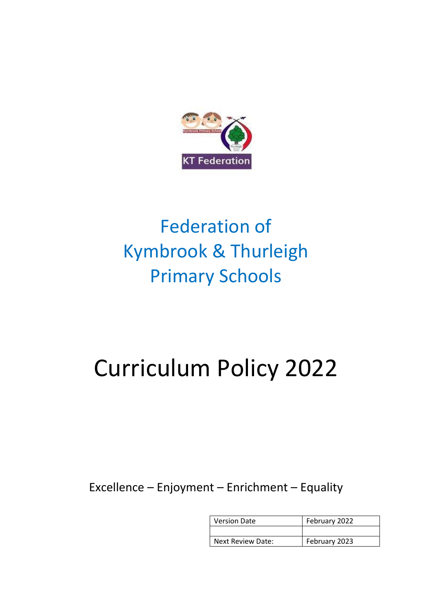

## Federation of Kymbrook & Thurleigh Primary Schools

# Curriculum Policy 2022

Excellence – Enjoyment – Enrichment – Equality

| <b>Version Date</b> | February 2022 |
|---------------------|---------------|
|                     |               |
| Next Review Date:   | February 2023 |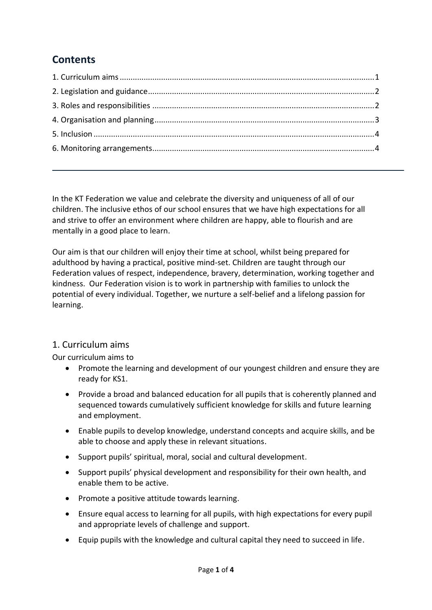### **Contents**

In the KT Federation we value and celebrate the diversity and uniqueness of all of our children. The inclusive ethos of our school ensures that we have high expectations for all and strive to offer an environment where children are happy, able to flourish and are mentally in a good place to learn.

Our aim is that our children will enjoy their time at school, whilst being prepared for adulthood by having a practical, positive mind-set. Children are taught through our Federation values of respect, independence, bravery, determination, working together and kindness. Our Federation vision is to work in partnership with families to unlock the potential of every individual. Together, we nurture a self-belief and a lifelong passion for learning.

#### <span id="page-1-0"></span>1. Curriculum aims

Our curriculum aims to

- Promote the learning and development of our youngest children and ensure they are ready for KS1.
- Provide a broad and balanced education for all pupils that is coherently planned and sequenced towards cumulatively sufficient knowledge for skills and future learning and employment.
- Enable pupils to develop knowledge, understand concepts and acquire skills, and be able to choose and apply these in relevant situations.
- Support pupils' spiritual, moral, social and cultural development.
- Support pupils' physical development and responsibility for their own health, and enable them to be active.
- Promote a positive attitude towards learning.
- Ensure equal access to learning for all pupils, with high expectations for every pupil and appropriate levels of challenge and support.
- Equip pupils with the knowledge and cultural capital they need to succeed in life.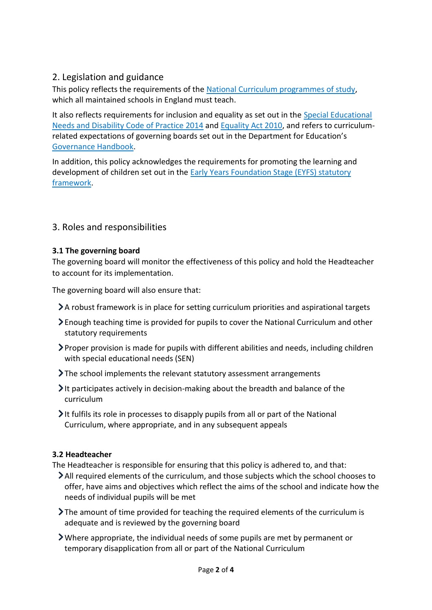#### <span id="page-2-0"></span>2. Legislation and guidance

This policy reflects the requirements of the [National Curriculum programmes of study,](https://www.gov.uk/government/collections/national-curriculum) which all maintained schools in England must teach.

It also reflects requirements for inclusion and equality as set out in the [Special Educational](https://www.gov.uk/government/publications/send-code-of-practice-0-to-25)  [Needs and Disability Code of Practice 2014](https://www.gov.uk/government/publications/send-code-of-practice-0-to-25) and [Equality Act 2010,](http://www.legislation.gov.uk/ukpga/2010/15/part/6/chapter/1) and refers to curriculumrelated expectations of governing boards set out in the Department for Education's [Governance Handbook.](https://www.gov.uk/government/publications/governance-handbook)

In addition, this policy acknowledges the requirements for promoting the learning and development of children set out in the [Early Years Foundation Stage \(EYFS\) statutory](https://www.gov.uk/government/publications/early-years-foundation-stage-framework--2)  [framework.](https://www.gov.uk/government/publications/early-years-foundation-stage-framework--2)

#### <span id="page-2-1"></span>3. Roles and responsibilities

#### **3.1 The governing board**

The governing board will monitor the effectiveness of this policy and hold the Headteacher to account for its implementation.

The governing board will also ensure that:

- A robust framework is in place for setting curriculum priorities and aspirational targets
- Enough teaching time is provided for pupils to cover the National Curriculum and other statutory requirements
- Proper provision is made for pupils with different abilities and needs, including children with special educational needs (SEN)
- The school implements the relevant statutory assessment arrangements
- $\blacktriangleright$  It participates actively in decision-making about the breadth and balance of the curriculum
- It fulfils its role in processes to disapply pupils from all or part of the National Curriculum, where appropriate, and in any subsequent appeals

#### **3.2 Headteacher**

The Headteacher is responsible for ensuring that this policy is adhered to, and that:

- All required elements of the curriculum, and those subjects which the school chooses to offer, have aims and objectives which reflect the aims of the school and indicate how the needs of individual pupils will be met
- $\sum$  The amount of time provided for teaching the required elements of the curriculum is adequate and is reviewed by the governing board
- Where appropriate, the individual needs of some pupils are met by permanent or temporary disapplication from all or part of the National Curriculum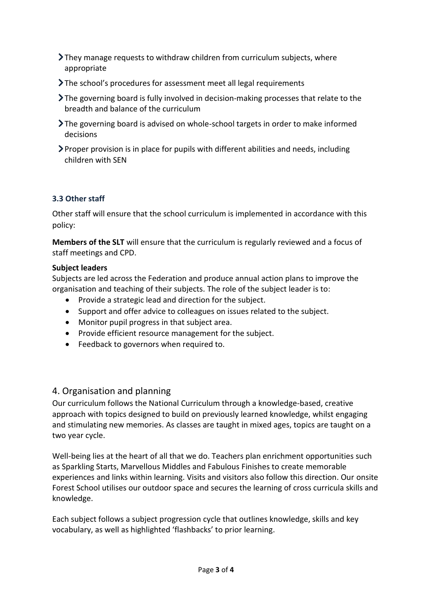- They manage requests to withdraw children from curriculum subjects, where appropriate
- The school's procedures for assessment meet all legal requirements
- The governing board is fully involved in decision-making processes that relate to the breadth and balance of the curriculum
- The governing board is advised on whole-school targets in order to make informed decisions
- $\triangleright$  Proper provision is in place for pupils with different abilities and needs, including children with SEN

#### **3.3 Other staff**

Other staff will ensure that the school curriculum is implemented in accordance with this policy:

**Members of the SLT** will ensure that the curriculum is regularly reviewed and a focus of staff meetings and CPD.

#### **Subject leaders**

Subjects are led across the Federation and produce annual action plans to improve the organisation and teaching of their subjects. The role of the subject leader is to:

- Provide a strategic lead and direction for the subject.
- Support and offer advice to colleagues on issues related to the subject.
- Monitor pupil progress in that subject area.
- Provide efficient resource management for the subject.
- Feedback to governors when required to.

#### <span id="page-3-0"></span>4. Organisation and planning

Our curriculum follows the National Curriculum through a knowledge-based, creative approach with topics designed to build on previously learned knowledge, whilst engaging and stimulating new memories. As classes are taught in mixed ages, topics are taught on a two year cycle.

Well-being lies at the heart of all that we do. Teachers plan enrichment opportunities such as Sparkling Starts, Marvellous Middles and Fabulous Finishes to create memorable experiences and links within learning. Visits and visitors also follow this direction. Our onsite Forest School utilises our outdoor space and secures the learning of cross curricula skills and knowledge.

Each subject follows a subject progression cycle that outlines knowledge, skills and key vocabulary, as well as highlighted 'flashbacks' to prior learning.